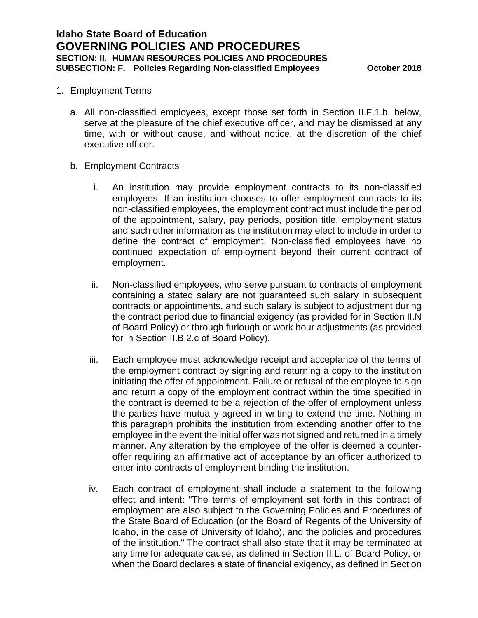## 1. Employment Terms

- a. All non-classified employees, except those set forth in Section II.F.1.b. below, serve at the pleasure of the chief executive officer, and may be dismissed at any time, with or without cause, and without notice, at the discretion of the chief executive officer.
- b. Employment Contracts
	- i. An institution may provide employment contracts to its non-classified employees. If an institution chooses to offer employment contracts to its non-classified employees, the employment contract must include the period of the appointment, salary, pay periods, position title, employment status and such other information as the institution may elect to include in order to define the contract of employment. Non-classified employees have no continued expectation of employment beyond their current contract of employment.
	- ii. Non-classified employees, who serve pursuant to contracts of employment containing a stated salary are not guaranteed such salary in subsequent contracts or appointments, and such salary is subject to adjustment during the contract period due to financial exigency (as provided for in Section II.N of Board Policy) or through furlough or work hour adjustments (as provided for in Section II.B.2.c of Board Policy).
	- iii. Each employee must acknowledge receipt and acceptance of the terms of the employment contract by signing and returning a copy to the institution initiating the offer of appointment. Failure or refusal of the employee to sign and return a copy of the employment contract within the time specified in the contract is deemed to be a rejection of the offer of employment unless the parties have mutually agreed in writing to extend the time. Nothing in this paragraph prohibits the institution from extending another offer to the employee in the event the initial offer was not signed and returned in a timely manner. Any alteration by the employee of the offer is deemed a counteroffer requiring an affirmative act of acceptance by an officer authorized to enter into contracts of employment binding the institution.
	- iv. Each contract of employment shall include a statement to the following effect and intent: "The terms of employment set forth in this contract of employment are also subject to the Governing Policies and Procedures of the State Board of Education (or the Board of Regents of the University of Idaho, in the case of University of Idaho), and the policies and procedures of the institution." The contract shall also state that it may be terminated at any time for adequate cause, as defined in Section II.L. of Board Policy, or when the Board declares a state of financial exigency, as defined in Section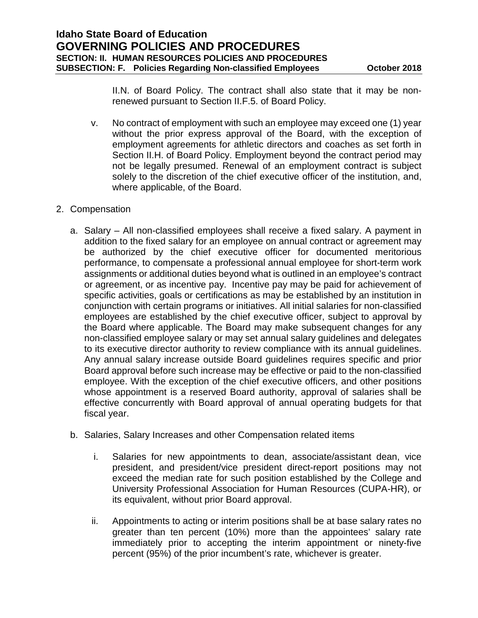II.N. of Board Policy. The contract shall also state that it may be nonrenewed pursuant to Section II.F.5. of Board Policy.

- v. No contract of employment with such an employee may exceed one (1) year without the prior express approval of the Board, with the exception of employment agreements for athletic directors and coaches as set forth in Section II.H. of Board Policy. Employment beyond the contract period may not be legally presumed. Renewal of an employment contract is subject solely to the discretion of the chief executive officer of the institution, and, where applicable, of the Board.
- 2. Compensation
	- a. Salary All non-classified employees shall receive a fixed salary. A payment in addition to the fixed salary for an employee on annual contract or agreement may be authorized by the chief executive officer for documented meritorious performance, to compensate a professional annual employee for short-term work assignments or additional duties beyond what is outlined in an employee's contract or agreement, or as incentive pay. Incentive pay may be paid for achievement of specific activities, goals or certifications as may be established by an institution in conjunction with certain programs or initiatives. All initial salaries for non-classified employees are established by the chief executive officer, subject to approval by the Board where applicable. The Board may make subsequent changes for any non-classified employee salary or may set annual salary guidelines and delegates to its executive director authority to review compliance with its annual guidelines. Any annual salary increase outside Board guidelines requires specific and prior Board approval before such increase may be effective or paid to the non-classified employee. With the exception of the chief executive officers, and other positions whose appointment is a reserved Board authority, approval of salaries shall be effective concurrently with Board approval of annual operating budgets for that fiscal year.
	- b. Salaries, Salary Increases and other Compensation related items
		- i. Salaries for new appointments to dean, associate/assistant dean, vice president, and president/vice president direct-report positions may not exceed the median rate for such position established by the College and University Professional Association for Human Resources (CUPA-HR), or its equivalent, without prior Board approval.
		- ii. Appointments to acting or interim positions shall be at base salary rates no greater than ten percent (10%) more than the appointees' salary rate immediately prior to accepting the interim appointment or ninety-five percent (95%) of the prior incumbent's rate, whichever is greater.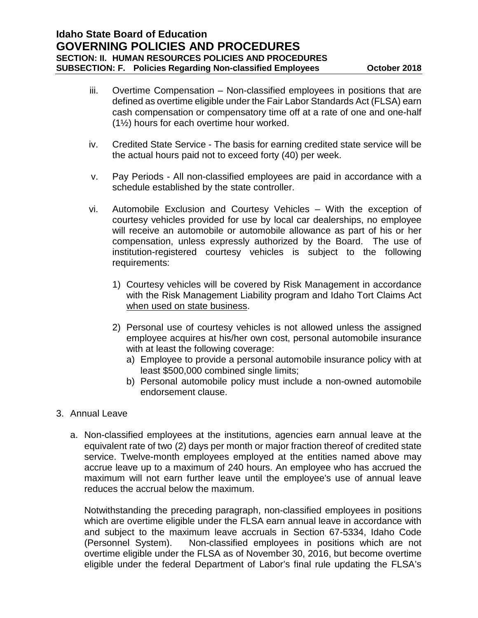- iii. Overtime Compensation Non-classified employees in positions that are defined as overtime eligible under the Fair Labor Standards Act (FLSA) earn cash compensation or compensatory time off at a rate of one and one-half (1½) hours for each overtime hour worked.
- iv. Credited State Service The basis for earning credited state service will be the actual hours paid not to exceed forty (40) per week.
- v. Pay Periods All non-classified employees are paid in accordance with a schedule established by the state controller.
- vi. Automobile Exclusion and Courtesy Vehicles With the exception of courtesy vehicles provided for use by local car dealerships, no employee will receive an automobile or automobile allowance as part of his or her compensation, unless expressly authorized by the Board. The use of institution-registered courtesy vehicles is subject to the following requirements:
	- 1) Courtesy vehicles will be covered by Risk Management in accordance with the Risk Management Liability program and Idaho Tort Claims Act when used on state business.
	- 2) Personal use of courtesy vehicles is not allowed unless the assigned employee acquires at his/her own cost, personal automobile insurance with at least the following coverage:
		- a) Employee to provide a personal automobile insurance policy with at least \$500,000 combined single limits;
		- b) Personal automobile policy must include a non-owned automobile endorsement clause.
- 3. Annual Leave
	- a. Non-classified employees at the institutions, agencies earn annual leave at the equivalent rate of two (2) days per month or major fraction thereof of credited state service. Twelve-month employees employed at the entities named above may accrue leave up to a maximum of 240 hours. An employee who has accrued the maximum will not earn further leave until the employee's use of annual leave reduces the accrual below the maximum.

Notwithstanding the preceding paragraph, non-classified employees in positions which are overtime eligible under the FLSA earn annual leave in accordance with and subject to the maximum leave accruals in Section 67-5334, Idaho Code (Personnel System). Non-classified employees in positions which are not overtime eligible under the FLSA as of November 30, 2016, but become overtime eligible under the federal Department of Labor's final rule updating the FLSA's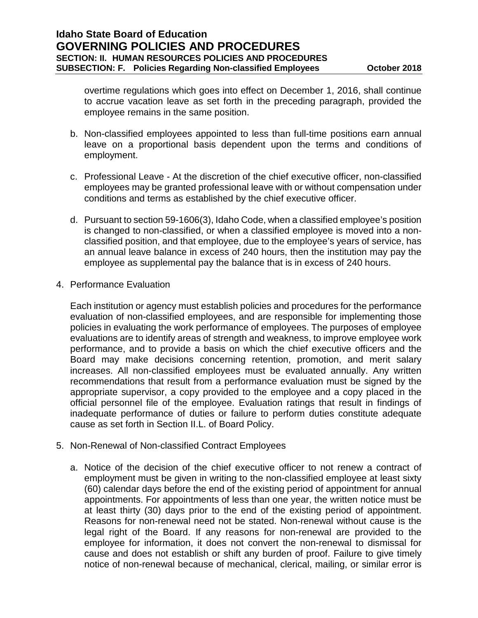overtime regulations which goes into effect on December 1, 2016, shall continue to accrue vacation leave as set forth in the preceding paragraph, provided the employee remains in the same position.

- b. Non-classified employees appointed to less than full-time positions earn annual leave on a proportional basis dependent upon the terms and conditions of employment.
- c. Professional Leave At the discretion of the chief executive officer, non-classified employees may be granted professional leave with or without compensation under conditions and terms as established by the chief executive officer.
- d. Pursuant to section 59-1606(3), Idaho Code, when a classified employee's position is changed to non-classified, or when a classified employee is moved into a nonclassified position, and that employee, due to the employee's years of service, has an annual leave balance in excess of 240 hours, then the institution may pay the employee as supplemental pay the balance that is in excess of 240 hours.
- 4. Performance Evaluation

Each institution or agency must establish policies and procedures for the performance evaluation of non-classified employees, and are responsible for implementing those policies in evaluating the work performance of employees. The purposes of employee evaluations are to identify areas of strength and weakness, to improve employee work performance, and to provide a basis on which the chief executive officers and the Board may make decisions concerning retention, promotion, and merit salary increases. All non-classified employees must be evaluated annually. Any written recommendations that result from a performance evaluation must be signed by the appropriate supervisor, a copy provided to the employee and a copy placed in the official personnel file of the employee. Evaluation ratings that result in findings of inadequate performance of duties or failure to perform duties constitute adequate cause as set forth in Section II.L. of Board Policy.

- 5. Non-Renewal of Non-classified Contract Employees
	- a. Notice of the decision of the chief executive officer to not renew a contract of employment must be given in writing to the non-classified employee at least sixty (60) calendar days before the end of the existing period of appointment for annual appointments. For appointments of less than one year, the written notice must be at least thirty (30) days prior to the end of the existing period of appointment. Reasons for non-renewal need not be stated. Non-renewal without cause is the legal right of the Board. If any reasons for non-renewal are provided to the employee for information, it does not convert the non-renewal to dismissal for cause and does not establish or shift any burden of proof. Failure to give timely notice of non-renewal because of mechanical, clerical, mailing, or similar error is